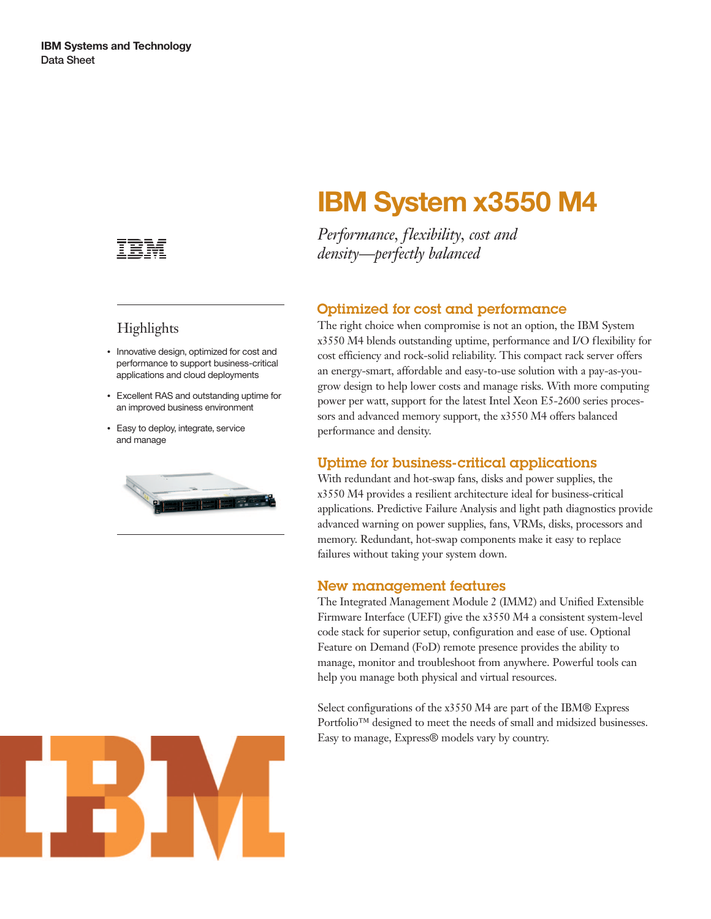

## **Highlights**

- Innovative design, optimized for cost and performance to support business-critical applications and cloud deployments
- Excellent RAS and outstanding uptime for an improved business environment
- Easy to deploy, integrate, service and manage



# **IBM System x3550 M4**

*Performance, flexibility, cost and density—perfectly balanced*

### Optimized for cost and performance

The right choice when compromise is not an option, the IBM System x3550 M4 blends outstanding uptime, performance and I/O flexibility for cost efficiency and rock-solid reliability. This compact rack server offers an energy-smart, affordable and easy-to-use solution with a pay-as-yougrow design to help lower costs and manage risks. With more computing power per watt, support for the latest Intel Xeon E5-2600 series processors and advanced memory support, the x3550 M4 offers balanced performance and density.

#### Uptime for business-critical applications

With redundant and hot-swap fans, disks and power supplies, the x3550 M4 provides a resilient architecture ideal for business-critical applications. Predictive Failure Analysis and light path diagnostics provide advanced warning on power supplies, fans, VRMs, disks, processors and memory. Redundant, hot-swap components make it easy to replace failures without taking your system down.

#### New management features

The Integrated Management Module 2 (IMM2) and Unified Extensible Firmware Interface (UEFI) give the x3550 M4 a consistent system-level code stack for superior setup, configuration and ease of use. Optional Feature on Demand (FoD) remote presence provides the ability to manage, monitor and troubleshoot from anywhere. Powerful tools can help you manage both physical and virtual resources.

Select configurations of the x3550 M4 are part of the IBM® Express Portfolio™ designed to meet the needs of small and midsized businesses. Easy to manage, Express® models vary by country.